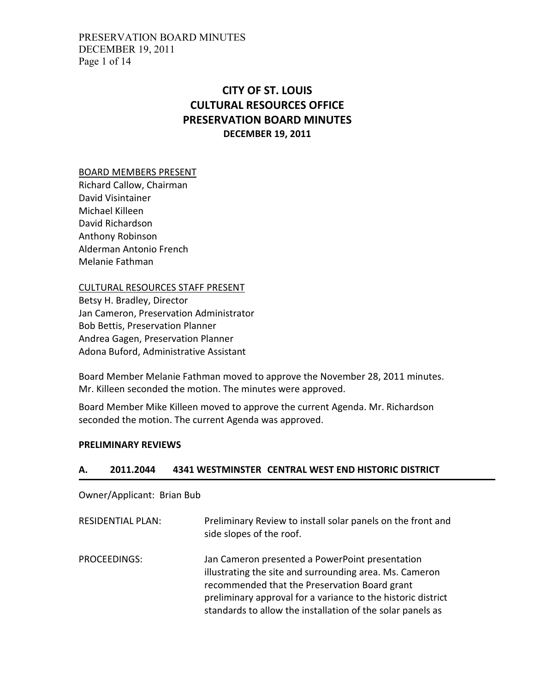PRESERVATION BOARD MINUTES DECEMBER 19, 2011 Page 1 of 14

# CITY OF ST. LOUIS CULTURAL RESOURCES OFFICE PRESERVATION BOARD MINUTES DECEMBER 19, 2011

#### BOARD MEMBERS PRESENT

Richard Callow, Chairman David Visintainer Michael Killeen David Richardson Anthony Robinson Alderman Antonio French Melanie Fathman

#### CULTURAL RESOURCES STAFF PRESENT

Betsy H. Bradley, Director Jan Cameron, Preservation Administrator Bob Bettis, Preservation Planner Andrea Gagen, Preservation Planner Adona Buford, Administrative Assistant

Board Member Melanie Fathman moved to approve the November 28, 2011 minutes. Mr. Killeen seconded the motion. The minutes were approved.

Board Member Mike Killeen moved to approve the current Agenda. Mr. Richardson seconded the motion. The current Agenda was approved.

#### PRELIMINARY REVIEWS

#### A. 2011.2044 4341 WESTMINSTER CENTRAL WEST END HISTORIC DISTRICT

Owner/Applicant: Brian Bub

| <b>RESIDENTIAL PLAN:</b> | Preliminary Review to install solar panels on the front and<br>side slopes of the roof.                                                                                                                                                                                                   |
|--------------------------|-------------------------------------------------------------------------------------------------------------------------------------------------------------------------------------------------------------------------------------------------------------------------------------------|
| PROCEEDINGS:             | Jan Cameron presented a PowerPoint presentation<br>illustrating the site and surrounding area. Ms. Cameron<br>recommended that the Preservation Board grant<br>preliminary approval for a variance to the historic district<br>standards to allow the installation of the solar panels as |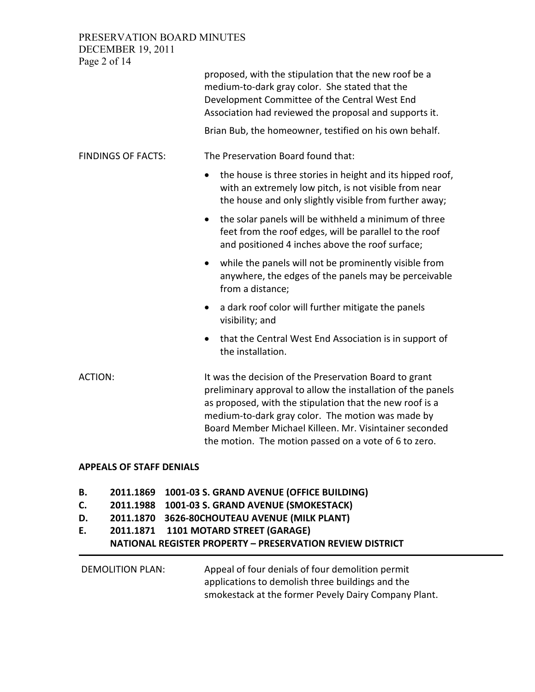PRESERVATION BOARD MINUTES DECEMBER 19, 2011

Page 2 of 14 proposed, with the stipulation that the new roof be a medium-to-dark gray color. She stated that the Development Committee of the Central West End Association had reviewed the proposal and supports it. Brian Bub, the homeowner, testified on his own behalf. FINDINGS OF FACTS: The Preservation Board found that: • the house is three stories in height and its hipped roof, with an extremely low pitch, is not visible from near the house and only slightly visible from further away; • the solar panels will be withheld a minimum of three feet from the roof edges, will be parallel to the roof and positioned 4 inches above the roof surface; • while the panels will not be prominently visible from anywhere, the edges of the panels may be perceivable from a distance; • a dark roof color will further mitigate the panels visibility; and • that the Central West End Association is in support of the installation. ACTION: It was the decision of the Preservation Board to grant preliminary approval to allow the installation of the panels as proposed, with the stipulation that the new roof is a medium-to-dark gray color. The motion was made by Board Member Michael Killeen. Mr. Visintainer seconded the motion. The motion passed on a vote of 6 to zero.

#### APPEALS OF STAFF DENIALS

- B. 2011.1869 1001-03 S. GRAND AVENUE (OFFICE BUILDING)
- C. 2011.1988 1001-03 S. GRAND AVENUE (SMOKESTACK)
- D. 2011.1870 3626-80CHOUTEAU AVENUE (MILK PLANT)
- E. 2011.1871 1101 MOTARD STREET (GARAGE)

## NATIONAL REGISTER PROPERTY – PRESERVATION REVIEW DISTRICT

DEMOLITION PLAN: Appeal of four denials of four demolition permit applications to demolish three buildings and the smokestack at the former Pevely Dairy Company Plant.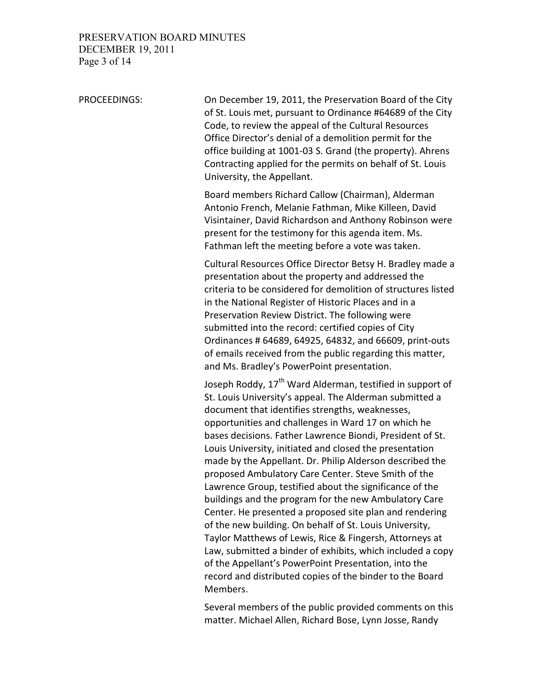### PRESERVATION BOARD MINUTES DECEMBER 19, 2011 Page 3 of 14

PROCEEDINGS: On December 19, 2011, the Preservation Board of the City of St. Louis met, pursuant to Ordinance #64689 of the City Code, to review the appeal of the Cultural Resources Office Director's denial of a demolition permit for the office building at 1001-03 S. Grand (the property). Ahrens Contracting applied for the permits on behalf of St. Louis University, the Appellant.

> Board members Richard Callow (Chairman), Alderman Antonio French, Melanie Fathman, Mike Killeen, David Visintainer, David Richardson and Anthony Robinson were present for the testimony for this agenda item. Ms. Fathman left the meeting before a vote was taken.

> Cultural Resources Office Director Betsy H. Bradley made a presentation about the property and addressed the criteria to be considered for demolition of structures listed in the National Register of Historic Places and in a Preservation Review District. The following were submitted into the record: certified copies of City Ordinances # 64689, 64925, 64832, and 66609, print-outs of emails received from the public regarding this matter, and Ms. Bradley's PowerPoint presentation.

> Joseph Roddy, 17<sup>th</sup> Ward Alderman, testified in support of St. Louis University's appeal. The Alderman submitted a document that identifies strengths, weaknesses, opportunities and challenges in Ward 17 on which he bases decisions. Father Lawrence Biondi, President of St. Louis University, initiated and closed the presentation made by the Appellant. Dr. Philip Alderson described the proposed Ambulatory Care Center. Steve Smith of the Lawrence Group, testified about the significance of the buildings and the program for the new Ambulatory Care Center. He presented a proposed site plan and rendering of the new building. On behalf of St. Louis University, Taylor Matthews of Lewis, Rice & Fingersh, Attorneys at Law, submitted a binder of exhibits, which included a copy of the Appellant's PowerPoint Presentation, into the record and distributed copies of the binder to the Board Members.

> Several members of the public provided comments on this matter. Michael Allen, Richard Bose, Lynn Josse, Randy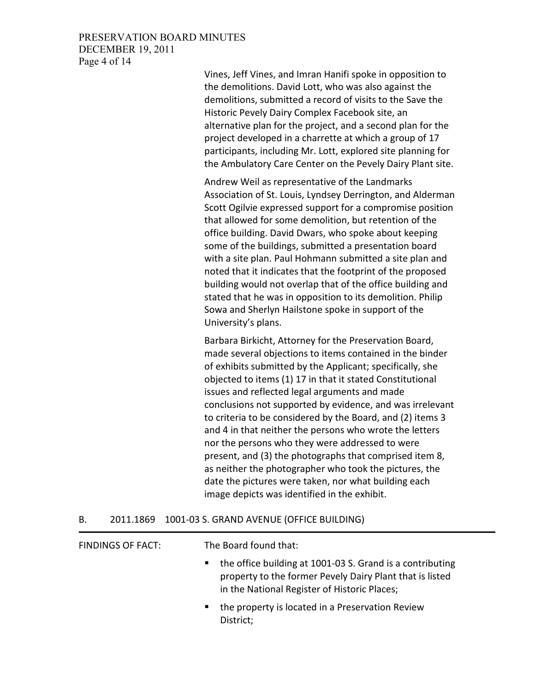#### PRESERVATION BOARD MINUTES DECEMBER 19, 2011 Page 4 of 14

Vines, Jeff Vines, and Imran Hanifi spoke in opposition to the demolitions. David Lott, who was also against the demolitions, submitted a record of visits to the Save the Historic Pevely Dairy Complex Facebook site, an alternative plan for the project, and a second plan for the project developed in a charrette at which a group of 17 participants, including Mr. Lott, explored site planning for the Ambulatory Care Center on the Pevely Dairy Plant site.

Andrew Weil as representative of the Landmarks Association of St. Louis, Lyndsey Derrington, and Alderman Scott Ogilvie expressed support for a compromise position that allowed for some demolition, but retention of the office building. David Dwars, who spoke about keeping some of the buildings, submitted a presentation board with a site plan. Paul Hohmann submitted a site plan and noted that it indicates that the footprint of the proposed building would not overlap that of the office building and stated that he was in opposition to its demolition. Philip Sowa and Sherlyn Hailstone spoke in support of the University's plans.

Barbara Birkicht, Attorney for the Preservation Board, made several objections to items contained in the binder of exhibits submitted by the Applicant; specifically, she objected to items (1) 17 in that it stated Constitutional issues and reflected legal arguments and made conclusions not supported by evidence, and was irrelevant to criteria to be considered by the Board, and (2) items 3 and 4 in that neither the persons who wrote the letters nor the persons who they were addressed to were present, and (3) the photographs that comprised item 8, as neither the photographer who took the pictures, the date the pictures were taken, nor what building each image depicts was identified in the exhibit.

| В. | 2011.1869 1001-03 S. GRAND AVENUE (OFFICE BUILDING) |  |
|----|-----------------------------------------------------|--|
|    |                                                     |  |

| FINDINGS OF FACT: | The Board found that:                                                                                                                                                                   |
|-------------------|-----------------------------------------------------------------------------------------------------------------------------------------------------------------------------------------|
|                   | the office building at 1001-03 S. Grand is a contributing<br>$\blacksquare$<br>property to the former Pevely Dairy Plant that is listed<br>in the National Register of Historic Places; |
|                   | the property is located in a Preservation Review<br>District;                                                                                                                           |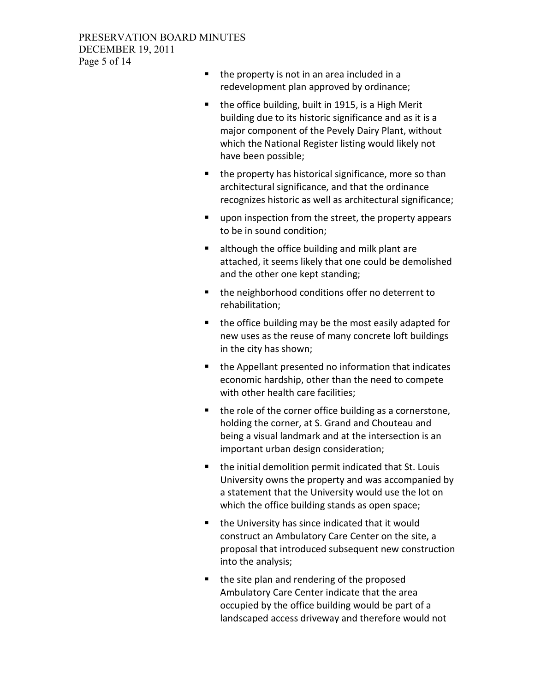### PRESERVATION BOARD MINUTES DECEMBER 19, 2011 Page 5 of 14

- $\blacksquare$  the property is not in an area included in a redevelopment plan approved by ordinance;
- the office building, built in 1915, is a High Merit building due to its historic significance and as it is a major component of the Pevely Dairy Plant, without which the National Register listing would likely not have been possible;
- $\blacksquare$  the property has historical significance, more so than architectural significance, and that the ordinance recognizes historic as well as architectural significance;
- **upon inspection from the street, the property appears** to be in sound condition;
- **EXTE** although the office building and milk plant are attached, it seems likely that one could be demolished and the other one kept standing;
- the neighborhood conditions offer no deterrent to rehabilitation;
- the office building may be the most easily adapted for new uses as the reuse of many concrete loft buildings in the city has shown;
- the Appellant presented no information that indicates economic hardship, other than the need to compete with other health care facilities;
- $\blacksquare$  the role of the corner office building as a cornerstone, holding the corner, at S. Grand and Chouteau and being a visual landmark and at the intersection is an important urban design consideration;
- **the initial demolition permit indicated that St. Louis** University owns the property and was accompanied by a statement that the University would use the lot on which the office building stands as open space;
- the University has since indicated that it would construct an Ambulatory Care Center on the site, a proposal that introduced subsequent new construction into the analysis;
- the site plan and rendering of the proposed Ambulatory Care Center indicate that the area occupied by the office building would be part of a landscaped access driveway and therefore would not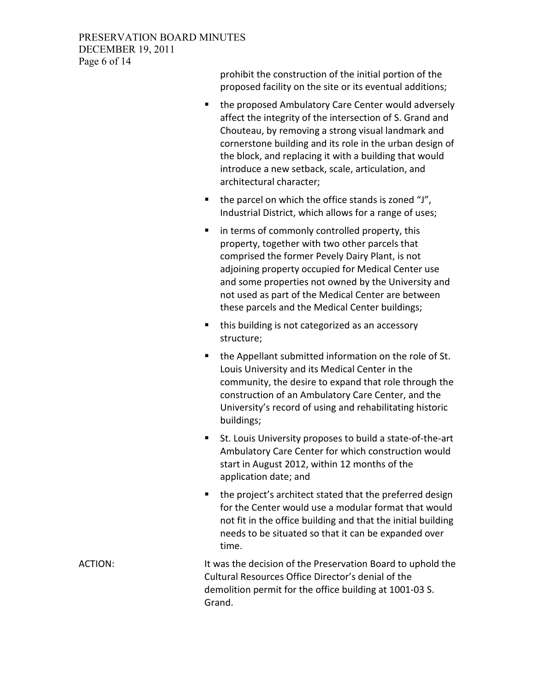### PRESERVATION BOARD MINUTES DECEMBER 19, 2011 Page 6 of 14

prohibit the construction of the initial portion of the proposed facility on the site or its eventual additions;

- **the proposed Ambulatory Care Center would adversely** affect the integrity of the intersection of S. Grand and Chouteau, by removing a strong visual landmark and cornerstone building and its role in the urban design of the block, and replacing it with a building that would introduce a new setback, scale, articulation, and architectural character;
- $\blacksquare$  the parcel on which the office stands is zoned "J", Industrial District, which allows for a range of uses;
- **i** in terms of commonly controlled property, this property, together with two other parcels that comprised the former Pevely Dairy Plant, is not adjoining property occupied for Medical Center use and some properties not owned by the University and not used as part of the Medical Center are between these parcels and the Medical Center buildings;
- this building is not categorized as an accessory structure;
- **the Appellant submitted information on the role of St.** Louis University and its Medical Center in the community, the desire to expand that role through the construction of an Ambulatory Care Center, and the University's record of using and rehabilitating historic buildings;
- St. Louis University proposes to build a state-of-the-art Ambulatory Care Center for which construction would start in August 2012, within 12 months of the application date; and
- the project's architect stated that the preferred design for the Center would use a modular format that would not fit in the office building and that the initial building needs to be situated so that it can be expanded over time.

ACTION: It was the decision of the Preservation Board to uphold the Cultural Resources Office Director's denial of the demolition permit for the office building at 1001-03 S. Grand.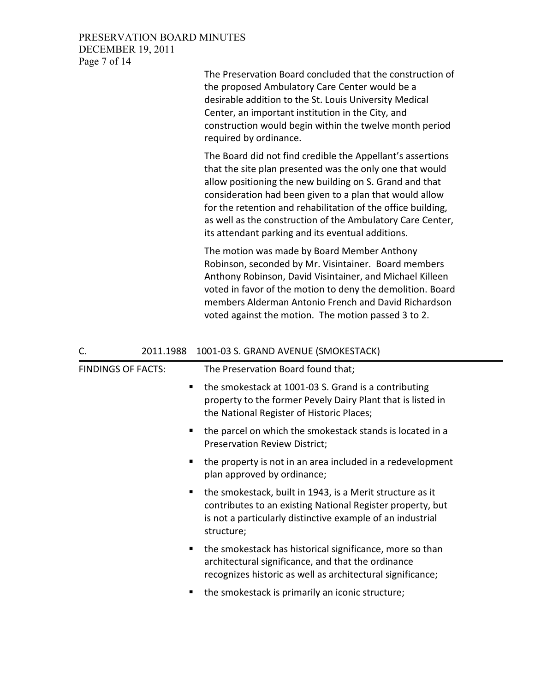#### PRESERVATION BOARD MINUTES DECEMBER 19, 2011 Page 7 of 14

| The Preservation Board concluded that the construction of |
|-----------------------------------------------------------|
| the proposed Ambulatory Care Center would be a            |
| desirable addition to the St. Louis University Medical    |
| Center, an important institution in the City, and         |
| construction would begin within the twelve month period   |
| required by ordinance.                                    |

The Board did not find credible the Appellant's assertions that the site plan presented was the only one that would allow positioning the new building on S. Grand and that consideration had been given to a plan that would allow for the retention and rehabilitation of the office building, as well as the construction of the Ambulatory Care Center, its attendant parking and its eventual additions.

The motion was made by Board Member Anthony Robinson, seconded by Mr. Visintainer. Board members Anthony Robinson, David Visintainer, and Michael Killeen voted in favor of the motion to deny the demolition. Board members Alderman Antonio French and David Richardson voted against the motion. The motion passed 3 to 2.

| C.                        |   | 2011.1988 1001-03 S. GRAND AVENUE (SMOKESTACK)                                                                                                                                                      |
|---------------------------|---|-----------------------------------------------------------------------------------------------------------------------------------------------------------------------------------------------------|
| <b>FINDINGS OF FACTS:</b> |   | The Preservation Board found that;                                                                                                                                                                  |
|                           |   | the smokestack at 1001-03 S. Grand is a contributing<br>property to the former Pevely Dairy Plant that is listed in<br>the National Register of Historic Places;                                    |
|                           |   | the parcel on which the smokestack stands is located in a<br><b>Preservation Review District;</b>                                                                                                   |
|                           | ٠ | the property is not in an area included in a redevelopment<br>plan approved by ordinance;                                                                                                           |
|                           | ٠ | the smokestack, built in 1943, is a Merit structure as it<br>contributes to an existing National Register property, but<br>is not a particularly distinctive example of an industrial<br>structure; |
|                           | ٠ | the smokestack has historical significance, more so than<br>architectural significance, and that the ordinance<br>recognizes historic as well as architectural significance;                        |
|                           | п | the smokestack is primarily an iconic structure;                                                                                                                                                    |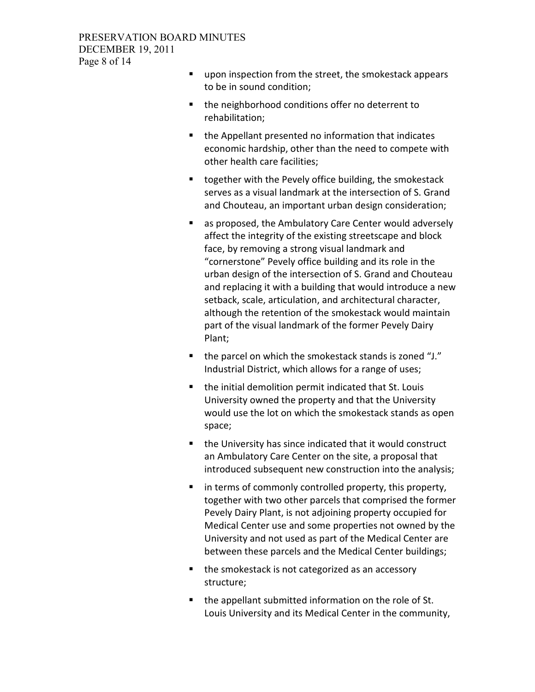- **upon inspection from the street, the smokestack appears** to be in sound condition;
- the neighborhood conditions offer no deterrent to rehabilitation;
- the Appellant presented no information that indicates economic hardship, other than the need to compete with other health care facilities;
- **t** together with the Pevely office building, the smokestack serves as a visual landmark at the intersection of S. Grand and Chouteau, an important urban design consideration;
- as proposed, the Ambulatory Care Center would adversely affect the integrity of the existing streetscape and block face, by removing a strong visual landmark and "cornerstone" Pevely office building and its role in the urban design of the intersection of S. Grand and Chouteau and replacing it with a building that would introduce a new setback, scale, articulation, and architectural character, although the retention of the smokestack would maintain part of the visual landmark of the former Pevely Dairy Plant;
- the parcel on which the smokestack stands is zoned "J." Industrial District, which allows for a range of uses;
- the initial demolition permit indicated that St. Louis University owned the property and that the University would use the lot on which the smokestack stands as open space;
- the University has since indicated that it would construct an Ambulatory Care Center on the site, a proposal that introduced subsequent new construction into the analysis;
- **I** in terms of commonly controlled property, this property, together with two other parcels that comprised the former Pevely Dairy Plant, is not adjoining property occupied for Medical Center use and some properties not owned by the University and not used as part of the Medical Center are between these parcels and the Medical Center buildings;
- the smokestack is not categorized as an accessory structure;
- the appellant submitted information on the role of St. Louis University and its Medical Center in the community,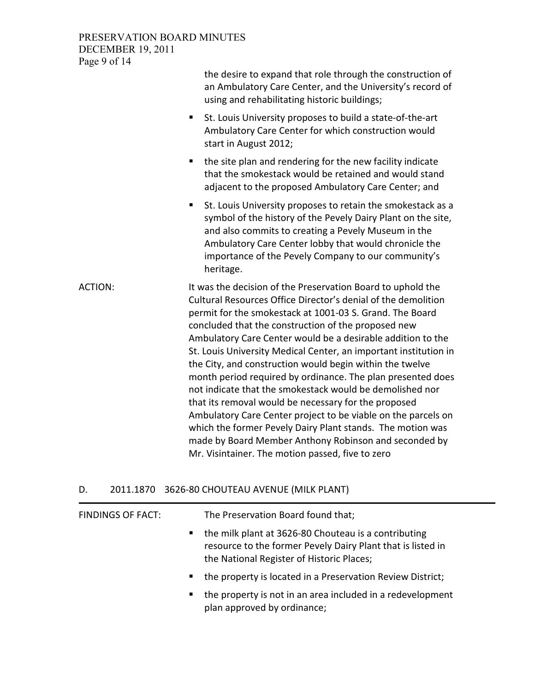PRESERVATION BOARD MINUTES DECEMBER 19, 2011 Page 9 of 14

|                | the desire to expand that role through the construction of<br>an Ambulatory Care Center, and the University's record of<br>using and rehabilitating historic buildings;                                                                                                                                                                                                                                                                                                                                                                                                                                                                                                                                                                                                                                                                                                       |
|----------------|-------------------------------------------------------------------------------------------------------------------------------------------------------------------------------------------------------------------------------------------------------------------------------------------------------------------------------------------------------------------------------------------------------------------------------------------------------------------------------------------------------------------------------------------------------------------------------------------------------------------------------------------------------------------------------------------------------------------------------------------------------------------------------------------------------------------------------------------------------------------------------|
|                | St. Louis University proposes to build a state-of-the-art<br>п<br>Ambulatory Care Center for which construction would<br>start in August 2012;                                                                                                                                                                                                                                                                                                                                                                                                                                                                                                                                                                                                                                                                                                                                |
|                | the site plan and rendering for the new facility indicate<br>п<br>that the smokestack would be retained and would stand<br>adjacent to the proposed Ambulatory Care Center; and                                                                                                                                                                                                                                                                                                                                                                                                                                                                                                                                                                                                                                                                                               |
|                | St. Louis University proposes to retain the smokestack as a<br>п<br>symbol of the history of the Pevely Dairy Plant on the site,<br>and also commits to creating a Pevely Museum in the<br>Ambulatory Care Center lobby that would chronicle the<br>importance of the Pevely Company to our community's<br>heritage.                                                                                                                                                                                                                                                                                                                                                                                                                                                                                                                                                          |
| <b>ACTION:</b> | It was the decision of the Preservation Board to uphold the<br>Cultural Resources Office Director's denial of the demolition<br>permit for the smokestack at 1001-03 S. Grand. The Board<br>concluded that the construction of the proposed new<br>Ambulatory Care Center would be a desirable addition to the<br>St. Louis University Medical Center, an important institution in<br>the City, and construction would begin within the twelve<br>month period required by ordinance. The plan presented does<br>not indicate that the smokestack would be demolished nor<br>that its removal would be necessary for the proposed<br>Ambulatory Care Center project to be viable on the parcels on<br>which the former Pevely Dairy Plant stands. The motion was<br>made by Board Member Anthony Robinson and seconded by<br>Mr. Visintainer. The motion passed, five to zero |

## D. 2011.1870 3626-80 CHOUTEAU AVENUE (MILK PLANT)

| FINDINGS OF FACT: | The Preservation Board found that;                                                                                                                               |
|-------------------|------------------------------------------------------------------------------------------------------------------------------------------------------------------|
| $\blacksquare$    | the milk plant at 3626-80 Chouteau is a contributing<br>resource to the former Pevely Dairy Plant that is listed in<br>the National Register of Historic Places; |
| п.                | the property is located in a Preservation Review District;                                                                                                       |
| п.                | the property is not in an area included in a redevelopment<br>plan approved by ordinance;                                                                        |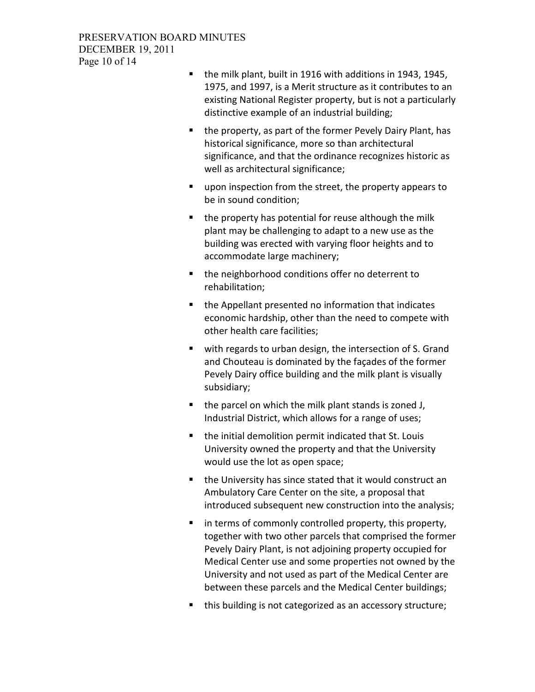- the milk plant, built in 1916 with additions in 1943, 1945, 1975, and 1997, is a Merit structure as it contributes to an existing National Register property, but is not a particularly distinctive example of an industrial building;
- the property, as part of the former Pevely Dairy Plant, has historical significance, more so than architectural significance, and that the ordinance recognizes historic as well as architectural significance;
- upon inspection from the street, the property appears to be in sound condition;
- $\blacksquare$  the property has potential for reuse although the milk plant may be challenging to adapt to a new use as the building was erected with varying floor heights and to accommodate large machinery;
- the neighborhood conditions offer no deterrent to rehabilitation;
- the Appellant presented no information that indicates economic hardship, other than the need to compete with other health care facilities;
- with regards to urban design, the intersection of S. Grand and Chouteau is dominated by the façades of the former Pevely Dairy office building and the milk plant is visually subsidiary;
- $\blacksquare$  the parcel on which the milk plant stands is zoned J, Industrial District, which allows for a range of uses;
- the initial demolition permit indicated that St. Louis University owned the property and that the University would use the lot as open space;
- the University has since stated that it would construct an Ambulatory Care Center on the site, a proposal that introduced subsequent new construction into the analysis;
- **i** in terms of commonly controlled property, this property, together with two other parcels that comprised the former Pevely Dairy Plant, is not adjoining property occupied for Medical Center use and some properties not owned by the University and not used as part of the Medical Center are between these parcels and the Medical Center buildings;
- this building is not categorized as an accessory structure;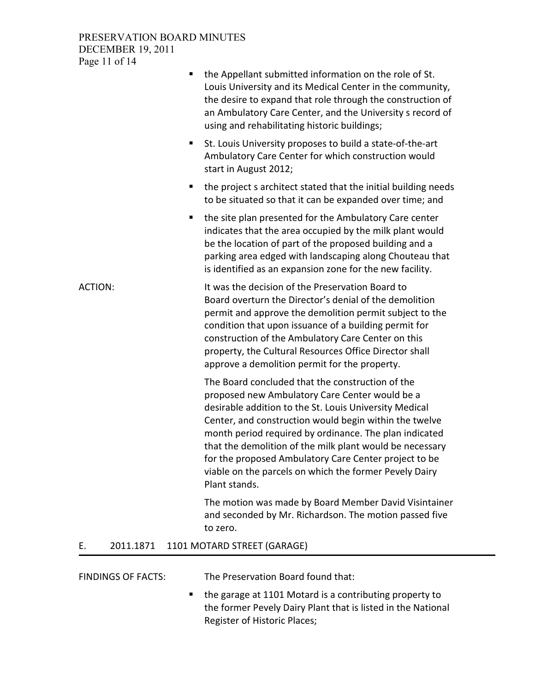### PRESERVATION BOARD MINUTES DECEMBER 19, 2011 Page 11 of 14

|                |           | the Appellant submitted information on the role of St.<br>Louis University and its Medical Center in the community,<br>the desire to expand that role through the construction of<br>an Ambulatory Care Center, and the University s record of<br>using and rehabilitating historic buildings;                                                                                                                                                                                   |
|----------------|-----------|----------------------------------------------------------------------------------------------------------------------------------------------------------------------------------------------------------------------------------------------------------------------------------------------------------------------------------------------------------------------------------------------------------------------------------------------------------------------------------|
|                |           | St. Louis University proposes to build a state-of-the-art<br>п<br>Ambulatory Care Center for which construction would<br>start in August 2012;                                                                                                                                                                                                                                                                                                                                   |
|                |           | the project s architect stated that the initial building needs<br>п<br>to be situated so that it can be expanded over time; and                                                                                                                                                                                                                                                                                                                                                  |
|                |           | the site plan presented for the Ambulatory Care center<br>п<br>indicates that the area occupied by the milk plant would<br>be the location of part of the proposed building and a<br>parking area edged with landscaping along Chouteau that<br>is identified as an expansion zone for the new facility.                                                                                                                                                                         |
| <b>ACTION:</b> |           | It was the decision of the Preservation Board to<br>Board overturn the Director's denial of the demolition<br>permit and approve the demolition permit subject to the<br>condition that upon issuance of a building permit for<br>construction of the Ambulatory Care Center on this<br>property, the Cultural Resources Office Director shall<br>approve a demolition permit for the property.                                                                                  |
|                |           | The Board concluded that the construction of the<br>proposed new Ambulatory Care Center would be a<br>desirable addition to the St. Louis University Medical<br>Center, and construction would begin within the twelve<br>month period required by ordinance. The plan indicated<br>that the demolition of the milk plant would be necessary<br>for the proposed Ambulatory Care Center project to be<br>viable on the parcels on which the former Pevely Dairy<br>Plant stands. |
|                |           | The motion was made by Board Member David Visintainer<br>and seconded by Mr. Richardson. The motion passed five<br>to zero.                                                                                                                                                                                                                                                                                                                                                      |
| Е.             | 2011.1871 | 1101 MOTARD STREET (GARAGE)                                                                                                                                                                                                                                                                                                                                                                                                                                                      |

FINDINGS OF FACTS: The Preservation Board found that:

■ the garage at 1101 Motard is a contributing property to the former Pevely Dairy Plant that is listed in the National Register of Historic Places;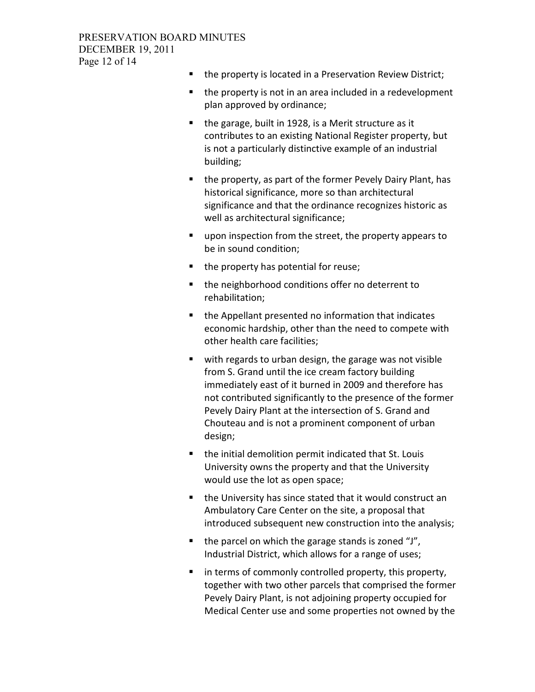- the property is located in a Preservation Review District;
- $\blacksquare$  the property is not in an area included in a redevelopment plan approved by ordinance;
- $\blacksquare$  the garage, built in 1928, is a Merit structure as it contributes to an existing National Register property, but is not a particularly distinctive example of an industrial building;
- the property, as part of the former Pevely Dairy Plant, has historical significance, more so than architectural significance and that the ordinance recognizes historic as well as architectural significance;
- upon inspection from the street, the property appears to be in sound condition;
- $\blacksquare$  the property has potential for reuse;
- the neighborhood conditions offer no deterrent to rehabilitation;
- the Appellant presented no information that indicates economic hardship, other than the need to compete with other health care facilities;
- with regards to urban design, the garage was not visible from S. Grand until the ice cream factory building immediately east of it burned in 2009 and therefore has not contributed significantly to the presence of the former Pevely Dairy Plant at the intersection of S. Grand and Chouteau and is not a prominent component of urban design;
- the initial demolition permit indicated that St. Louis University owns the property and that the University would use the lot as open space;
- the University has since stated that it would construct an Ambulatory Care Center on the site, a proposal that introduced subsequent new construction into the analysis;
- $\blacksquare$  the parcel on which the garage stands is zoned "J", Industrial District, which allows for a range of uses;
- **in terms of commonly controlled property, this property,** together with two other parcels that comprised the former Pevely Dairy Plant, is not adjoining property occupied for Medical Center use and some properties not owned by the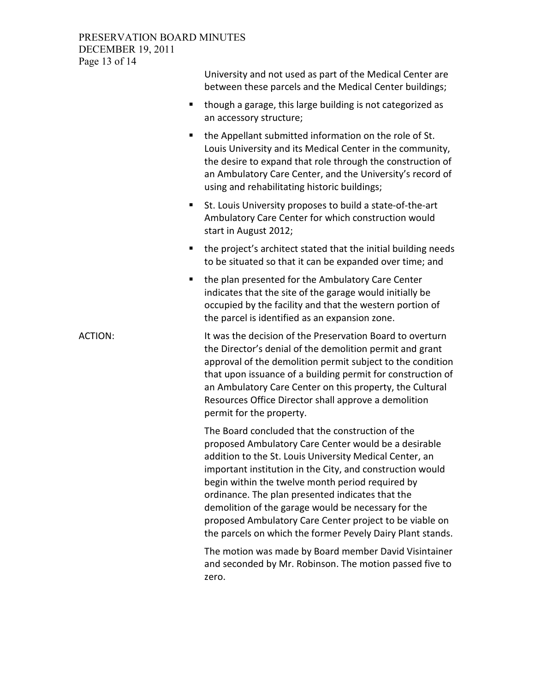## PRESERVATION BOARD MINUTES DECEMBER 19, 2011 Page 13 of 14

|                | University and not used as part of the Medical Center are<br>between these parcels and the Medical Center buildings;                                                                                                                                                                                                                                                                                                                                                                                                     |
|----------------|--------------------------------------------------------------------------------------------------------------------------------------------------------------------------------------------------------------------------------------------------------------------------------------------------------------------------------------------------------------------------------------------------------------------------------------------------------------------------------------------------------------------------|
| ٠              | though a garage, this large building is not categorized as<br>an accessory structure;                                                                                                                                                                                                                                                                                                                                                                                                                                    |
| ٠              | the Appellant submitted information on the role of St.<br>Louis University and its Medical Center in the community,<br>the desire to expand that role through the construction of<br>an Ambulatory Care Center, and the University's record of<br>using and rehabilitating historic buildings;                                                                                                                                                                                                                           |
| п              | St. Louis University proposes to build a state-of-the-art<br>Ambulatory Care Center for which construction would<br>start in August 2012;                                                                                                                                                                                                                                                                                                                                                                                |
| п              | the project's architect stated that the initial building needs<br>to be situated so that it can be expanded over time; and                                                                                                                                                                                                                                                                                                                                                                                               |
| п              | the plan presented for the Ambulatory Care Center<br>indicates that the site of the garage would initially be<br>occupied by the facility and that the western portion of<br>the parcel is identified as an expansion zone.                                                                                                                                                                                                                                                                                              |
| <b>ACTION:</b> | It was the decision of the Preservation Board to overturn<br>the Director's denial of the demolition permit and grant<br>approval of the demolition permit subject to the condition<br>that upon issuance of a building permit for construction of<br>an Ambulatory Care Center on this property, the Cultural<br>Resources Office Director shall approve a demolition<br>permit for the property.                                                                                                                       |
|                | The Board concluded that the construction of the<br>proposed Ambulatory Care Center would be a desirable<br>addition to the St. Louis University Medical Center, an<br>important institution in the City, and construction would<br>begin within the twelve month period required by<br>ordinance. The plan presented indicates that the<br>demolition of the garage would be necessary for the<br>proposed Ambulatory Care Center project to be viable on<br>the parcels on which the former Pevely Dairy Plant stands. |
|                | The motion was made by Board member David Visintainer<br>and seconded by Mr. Robinson. The motion passed five to<br>zero.                                                                                                                                                                                                                                                                                                                                                                                                |